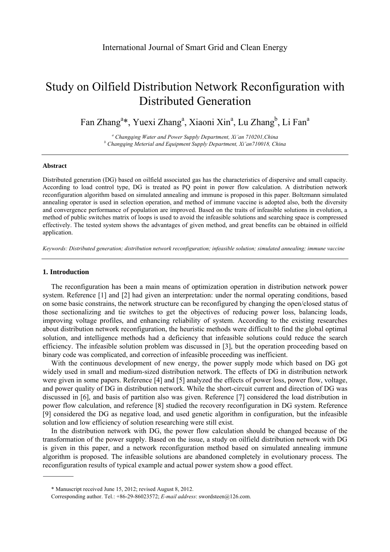# Study on Oilfield Distribution Network Reconfiguration with Distributed Generation

Fan Zhang<sup>a\*</sup>, Yuexi Zhang<sup>a</sup>, Xiaoni Xin<sup>a</sup>, Lu Zhang<sup>b</sup>, Li Fan<sup>a</sup>

<sup>a</sup> Changqing Water and Power Supply Department, Xi'an 710201,China *b* Changging Material and Equipment Supply Department Vi'an 710018, Ch  *Changqing Meterial and Equipment Supply Department, Xi'an710018, China* 

#### **Abstract**

Distributed generation (DG) based on oilfield associated gas has the characteristics of dispersive and small capacity. According to load control type, DG is treated as PQ point in power flow calculation. A distribution network reconfiguration algorithm based on simulated annealing and immune is proposed in this paper. Boltzmann simulated annealing operator is used in selection operation, and method of immune vaccine is adopted also, both the diversity and convergence performance of population are improved. Based on the traits of infeasible solutions in evolution, a method of public switches matrix of loops is used to avoid the infeasible solutions and searching space is compressed effectively. The tested system shows the advantages of given method, and great benefits can be obtained in oilfield application.

*Keywords: Distributed generation; distribution network reconfiguration; infeasible solution; simulated annealing; immune vaccine* 

#### **1. Introduction**

The reconfiguration has been a main means of optimization operation in distribution network power system. Reference [1] and [2] had given an interpretation: under the normal operating conditions, based on some basic constrains, the network structure can be reconfigured by changing the open/closed status of those sectionalizing and tie switches to get the objectives of reducing power loss, balancing loads, improving voltage profiles, and enhancing reliability of system. According to the existing researches about distribution network reconfiguration, the heuristic methods were difficult to find the global optimal solution, and intelligence methods had a deficiency that infeasible solutions could reduce the search efficiency. The infeasible solution problem was discussed in [3], but the operation proceeding based on binary code was complicated, and correction of infeasible proceeding was inefficient.

With the continuous development of new energy, the power supply mode which based on DG got widely used in small and medium-sized distribution network. The effects of DG in distribution network were given in some papers. Reference [4] and [5] analyzed the effects of power loss, power flow, voltage, and power quality of DG in distribution network. While the short-circuit current and direction of DG was discussed in [6], and basis of partition also was given. Reference [7] considered the load distribution in power flow calculation, and reference [8] studied the recovery reconfiguration in DG system. Reference [9] considered the DG as negative load, and used genetic algorithm in configuration, but the infeasible solution and low efficiency of solution researching were still exist.

In the distribution network with DG, the power flow calculation should be changed because of the transformation of the power supply. Based on the issue, a study on oilfield distribution network with DG is given in this paper, and a network reconfiguration method based on simulated annealing immune algorithm is proposed. The infeasible solutions are abandoned completely in evolutionary process. The reconfiguration results of typical example and actual power system show a good effect.

<sup>\*</sup> Manuscript received June 15, 2012; revised August 8, 2012.

Corresponding author. Tel.: +86-29-86023572; *E-mail address*: swordsteen@126.com.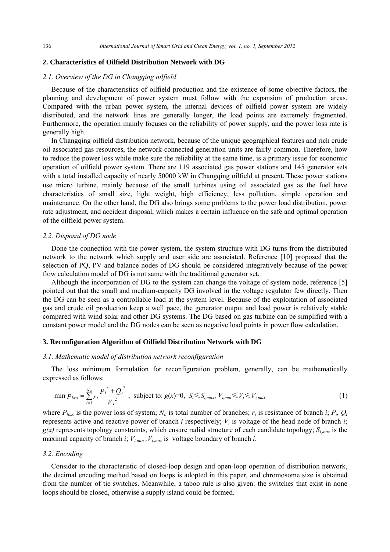#### **2. Characteristics of Oilfield Distribution Network with DG**

# *2.1. Overview of the DG in Changqing oilfield*

Because of the characteristics of oilfield production and the existence of some objective factors, the planning and development of power system must follow with the expansion of production areas. Compared with the urban power system, the internal devices of oilfield power system are widely distributed, and the network lines are generally longer, the load points are extremely fragmented. Furthermore, the operation mainly focuses on the reliability of power supply, and the power loss rate is generally high.

In Changqing oilfield distribution network, because of the unique geographical features and rich crude oil associated gas resources, the network-connected generation units are fairly common. Therefore, how to reduce the power loss while make sure the reliability at the same time, is a primary issue for economic operation of oilfield power system. There are 119 associated gas power stations and 145 generator sets with a total installed capacity of nearly 50000 kW in Changqing oilfield at present. These power stations use micro turbine, mainly because of the small turbines using oil associated gas as the fuel have characteristics of small size, light weight, high efficiency, less pollution, simple operation and maintenance. On the other hand, the DG also brings some problems to the power load distribution, power rate adjustment, and accident disposal, which makes a certain influence on the safe and optimal operation of the oilfield power system.

# *2.2. Disposal of DG node*

Done the connection with the power system, the system structure with DG turns from the distributed network to the network which supply and user side are associated. Reference [10] proposed that the selection of PQ, PV and balance nodes of DG should be considered integratively because of the power flow calculation model of DG is not same with the traditional generator set.

Although the incorporation of DG to the system can change the voltage of system node, reference [5] pointed out that the small and medium-capacity DG involved in the voltage regulator few directly. Then the DG can be seen as a controllable load at the system level. Because of the exploitation of associated gas and crude oil production keep a well pace, the generator output and load power is relatively stable compared with wind solar and other DG systems. The DG based on gas turbine can be simplified with a constant power model and the DG nodes can be seen as negative load points in power flow calculation.

# **3. Reconfiguration Algorithm of Oilfield Distribution Network with DG**

# *3.1. Mathematic model of distribution network reconfiguration*

The loss minimum formulation for reconfiguration problem, generally, can be mathematically expressed as follows:

$$
\min P_{loss} = \sum_{i=1}^{N_b} r_i \frac{P_i^2 + Q_i^2}{V_i^2}, \text{ subject to: } g(x)=0, \ S_i \le S_{i,max}, \ V_{i,min} \le V_i \le V_{i,max}
$$
 (1)

where  $P_{loss}$  is the power loss of system;  $N_b$  is total number of branches;  $r_i$  is resistance of branch *i*;  $P_i$ ,  $Q_i$ represents active and reactive power of branch *i* respectively;  $V_i$  is voltage of the head node of branch *i*;  $g(x)$  represents topology constraints, which ensure radial structure of each candidate topology;  $S_{i_{max}}$  is the maximal capacity of branch *i*;  $V_{i,min}$ ,  $V_{i,max}$  is voltage boundary of branch *i*.

#### *3.2. Encoding*

Consider to the characteristic of closed-loop design and open-loop operation of distribution network, the decimal encoding method based on loops is adopted in this paper, and chromosome size is obtained from the number of tie switches. Meanwhile, a taboo rule is also given: the switches that exist in none loops should be closed, otherwise a supply island could be formed.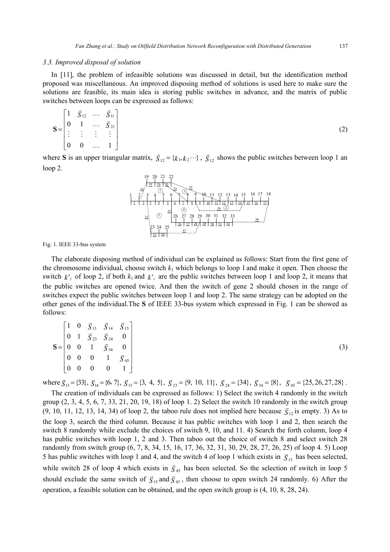#### *3.3. Improved disposal of solution*

In [11], the problem of infeasible solutions was discussed in detail, but the identification method proposed was miscellaneous. An improved disposing method of solutions is used here to make sure the solutions are feasible, its main idea is storing public switches in advance, and the matrix of public switches between loops can be expressed as follows:

$$
\mathbf{S} = \begin{bmatrix} 1 & \vec{S}_{12} & \cdots & \vec{S}_{1l} \\ 0 & 1 & \cdots & \vec{S}_{2l} \\ \vdots & \vdots & \vdots & \vdots \\ 0 & 0 & \cdots & 1 \end{bmatrix} \tag{2}
$$

where **S** is an upper triangular matrix,  $\vec{S}_{12} = \{k_1, k_2 \cdots\}$ ,  $\vec{S}_{12}$  shows the public switches between loop 1 an loop 2.



Fig. 1. IEEE 33-bus system

The elaborate disposing method of individual can be explained as follows: Start from the first gene of the chromosome individual, choose switch  $k_1$  which belongs to loop 1 and make it open. Then choose the switch  $k_i$  of loop 2, if both  $k_1$  and  $k_i$  are the public switches between loop 1 and loop 2, it means that the public switches are opened twice. And then the switch of gene 2 should chosen in the range of switches expect the public switches between loop 1 and loop 2. The same strategy can be adopted on the other genes of the individual.The **S** of IEEE 33-bus system which expressed in Fig. 1 can be showed as follows:

|  | $\mathbf{S} = \begin{bmatrix} 1 & 0 & \vec{S}_{13} & \vec{S}_{14} & \vec{S}_{15} \\ 0 & 1 & \vec{S}_{23} & \vec{S}_{24} & 0 \\ 0 & 0 & 1 & \vec{S}_{34} & 0 \\ 0 & 0 & 0 & 1 & \vec{S}_{45} \\ 0 & 0 & 0 & 0 & 1 \end{bmatrix}$ |  |
|--|---------------------------------------------------------------------------------------------------------------------------------------------------------------------------------------------------------------------------------|--|
|  |                                                                                                                                                                                                                                 |  |
|  |                                                                                                                                                                                                                                 |  |
|  |                                                                                                                                                                                                                                 |  |

where  $\vec{S}_{13} = \{33\}$ ,  $\vec{S}_{14} = \{6, 7\}$ ,  $\vec{S}_{15} = \{3, 4, 5\}$ ,  $\vec{S}_{23} = \{9, 10, 11\}$ ,  $\vec{S}_{24} = \{34\}$ ,  $\vec{S}_{34} = \{8\}$ ,  $\vec{S}_{45} = \{25, 26, 27, 28\}$ .

The creation of individuals can be expressed as follows: 1) Select the switch 4 randomly in the switch group (2, 3, 4, 5, 6, 7, 33, 21, 20, 19, 18) of loop 1. 2) Select the switch 10 randomly in the switch group (9, 10, 11, 12, 13, 14, 34) of loop 2, the taboo rule does not implied here because  $\vec{S}_{12}$  is empty. 3) As to the loop 3, search the third column. Because it has public switches with loop 1 and 2, then search the switch 8 randomly while exclude the choices of switch 9, 10, and 11. 4) Search the forth column, loop 4 has public switches with loop 1, 2 and 3. Then taboo out the choice of switch 8 and select switch 28 randomly from switch group (6, 7, 8, 34, 15, 16, 17, 36, 32, 31, 30, 29, 28, 27, 26, 25) of loop 4. 5) Loop 5 has public switches with loop 1 and 4, and the switch 4 of loop 1 which exists in  $\vec{S}_{15}$  has been selected, while switch 28 of loop 4 which exists in  $\vec{S}_{45}$  has been selected. So the selection of switch in loop 5 should exclude the same switch of  $\overline{S}_{15}$  and  $\overline{S}_{45}$ , then choose to open switch 24 randomly. 6) After the operation, a feasible solution can be obtained, and the open switch group is (4, 10, 8, 28, 24).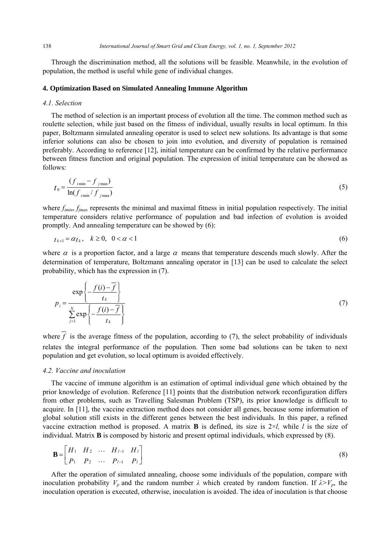Through the discrimination method, all the solutions will be feasible. Meanwhile, in the evolution of population, the method is useful while gene of individual changes.

# **4. Optimization Based on Simulated Annealing Immune Algorithm**

#### *4.1. Selection*

The method of selection is an important process of evolution all the time. The common method such as roulette selection, while just based on the fitness of individual, usually results in local optimum. In this paper, Boltzmann simulated annealing operator is used to select new solutions. Its advantage is that some inferior solutions can also be chosen to join into evolution, and diversity of population is remained preferably. According to reference [12], initial temperature can be confirmed by the relative performance between fitness function and original population. The expression of initial temperature can be showed as follows:

$$
t_0 = \frac{(f_{i_{\min}} - f_{j_{\max}})}{\ln(f_{i_{\min}} / f_{j_{\max}})}
$$
(5)

where  $f_{imin}$ ,  $f_{jmax}$  represents the minimal and maximal fitness in initial population respectively. The initial temperature considers relative performance of population and bad infection of evolution is avoided promptly. And annealing temperature can be showed by (6):

$$
t_{k+1} = \alpha t_k, \quad k \ge 0, \quad 0 < \alpha < 1 \tag{6}
$$

where  $\alpha$  is a proportion factor, and a large  $\alpha$  means that temperature descends much slowly. After the determination of temperature, Boltzmann annealing operator in [13] can be used to calculate the select probability, which has the expression in (7).

$$
p_{i} = \frac{\exp\left\{-\frac{f(i) - \overline{f}}{t_{k}}\right\}}{\sum_{j=1}^{N} \exp\left\{-\frac{f(i) - \overline{f}}{t_{k}}\right\}}
$$
(7)

where  $\overline{f}$  is the average fitness of the population, according to (7), the select probability of individuals relates the integral performance of the population. Then some bad solutions can be taken to next population and get evolution, so local optimum is avoided effectively.

# *4.2. Vaccine and inoculation*

The vaccine of immune algorithm is an estimation of optimal individual gene which obtained by the prior knowledge of evolution. Reference [11] points that the distribution network reconfiguration differs from other problems, such as Travelling Salesman Problem (TSP), its prior knowledge is difficult to acquire. In [11], the vaccine extraction method does not consider all genes, because some information of global solution still exists in the different genes between the best individuals. In this paper, a refined vaccine extraction method is proposed. A matrix **B** is defined, its size is 2×*l,* while *l* is the size of individual. Matrix **B** is composed by historic and present optimal individuals, which expressed by (8).

$$
\mathbf{B} = \begin{bmatrix} H_1 & H_2 & \cdots & H_{l-1} & H_l \\ P_1 & P_2 & \cdots & P_{l-1} & P_l \end{bmatrix}
$$
 (8)

After the operation of simulated annealing, choose some individuals of the population, compare with inoculation probability  $V_p$  and the random number  $\lambda$  which created by random function. If  $\lambda > V_p$ , the inoculation operation is executed, otherwise, inoculation is avoided. The idea of inoculation is that choose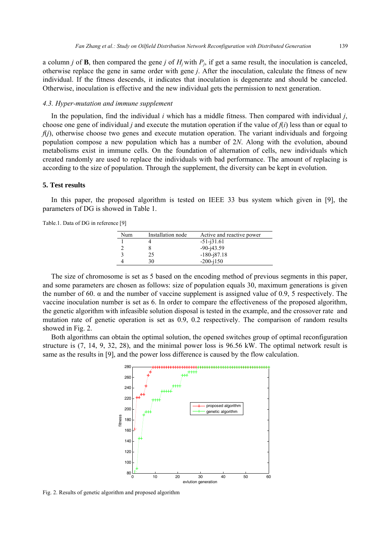a column *j* of **B**, then compared the gene *j* of  $H_j$  with  $P_j$ , if get a same result, the inoculation is canceled, otherwise replace the gene in same order with gene *j*. After the inoculation, calculate the fitness of new individual. If the fitness descends, it indicates that inoculation is degenerate and should be canceled. Otherwise, inoculation is effective and the new individual gets the permission to next generation.

# *4.3. Hyper-mutation and immune supplement*

In the population, find the individual *i* which has a middle fitness. Then compared with individual *j*, choose one gene of individual *j* and execute the mutation operation if the value of  $f(i)$  less than or equal to *f(i)*, otherwise choose two genes and execute mutation operation. The variant individuals and forgoing population compose a new population which has a number of 2*N*. Along with the evolution, abound metabolisms exist in immune cells. On the foundation of alternation of cells, new individuals which created randomly are used to replace the individuals with bad performance. The amount of replacing is according to the size of population. Through the supplement, the diversity can be kept in evolution.

# **5. Test results**

In this paper, the proposed algorithm is tested on IEEE 33 bus system which given in [9], the parameters of DG is showed in Table 1.

Table.1. Data of DG in reference [9]

| Num | Installation node | Active and reactive power |
|-----|-------------------|---------------------------|
|     |                   | $-51 - j31.61$            |
|     |                   | $-90 - i43.59$            |
|     | 25                | $-180 - 187.18$           |
|     | 30                | $-200 - j150$             |

The size of chromosome is set as 5 based on the encoding method of previous segments in this paper, and some parameters are chosen as follows: size of population equals 30, maximum generations is given the number of 60.  $\alpha$  and the number of vaccine supplement is assigned value of 0.9, 5 respectively. The vaccine inoculation number is set as 6. In order to compare the effectiveness of the proposed algorithm, the genetic algorithm with infeasible solution disposal is tested in the example, and the crossover rate and mutation rate of genetic operation is set as 0.9, 0.2 respectively. The comparison of random results showed in Fig. 2.

Both algorithms can obtain the optimal solution, the opened switches group of optimal reconfiguration structure is (7, 14, 9, 32, 28), and the minimal power loss is 96.56 kW. The optimal network result is same as the results in [9], and the power loss difference is caused by the flow calculation.



Fig. 2. Results of genetic algorithm and proposed algorithm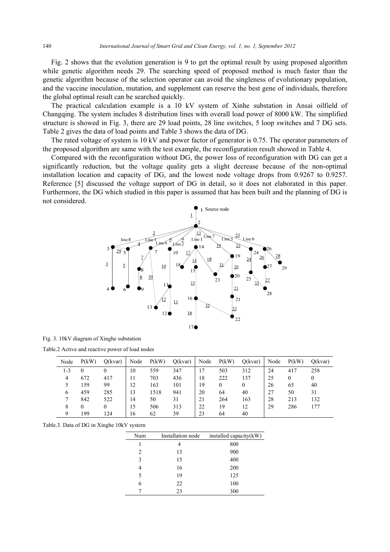Fig. 2 shows that the evolution generation is 9 to get the optimal result by using proposed algorithm while genetic algorithm needs 29. The searching speed of proposed method is much faster than the genetic algorithm because of the selection operator can avoid the singleness of evolutionary population, and the vaccine inoculation, mutation, and supplement can reserve the best gene of individuals, therefore the global optimal result can be searched quickly.

The practical calculation example is a 10 kV system of Xinhe substation in Ansai oilfield of Changqing. The system includes 8 distribution lines with overall load power of 8000 kW. The simplified structure is showed in Fig. 3, there are 29 load points, 28 line switches, 5 loop switches and 7 DG sets. Table 2 gives the data of load points and Table 3 shows the data of DG.

The rated voltage of system is 10 kV and power factor of generator is 0.75. The operator parameters of the proposed algorithm are same with the test example, the reconfiguration result showed in Table 4.

Compared with the reconfiguration without DG, the power loss of reconfiguration with DG can get a significantly reduction, but the voltage quality gets a slight decrease because of the non-optimal installation location and capacity of DG, and the lowest node voltage drops from 0.9267 to 0.9257. Reference [5] discussed the voltage support of DG in detail, so it does not elaborated in this paper. Furthermore, the DG which studied in this paper is assumed that has been built and the planning of DG is not considered.



|  |  |  |  |  | Fig. 3. 10kV diagram of Xinghe substation |
|--|--|--|--|--|-------------------------------------------|
|--|--|--|--|--|-------------------------------------------|

Table.2 Active and reactive power of load nodes

| Node | P(kW)    | O(kvar)  | Node | P(kW) | O(kvar) | Node | P(kW) | Q(kvar) | Node | P(kW) | O(kvar)      |
|------|----------|----------|------|-------|---------|------|-------|---------|------|-------|--------------|
| 1-3  |          |          | 10   | 559   | 347     | 17   | 503   | 312     | 24   | 417   | 258          |
| 4    | 672      | 417      | 11   | 703   | 436     | 18   | 222   | 137     | 25   | 0     | $\mathbf{0}$ |
|      | 159      | 99       | 12   | 163   | 101     | 19   | 0     | 0       | 26   | 65    | 40           |
| 6    | 459      | 285      | 13   | 1518  | 941     | 20   | 64    | 40      | 27   | 50    | 31           |
|      | 842      | 522      | 14   | 50    | 31      | 21   | 264   | 163     | 28   | 213   | 132          |
| 8    | $^{(1)}$ | $\theta$ | 15   | 506   | 313     | 22   | 19    | 12      | 29   | 286   | 177          |
| Q    | 199      | 124      | 16   | 62    | 39      | 23   | 64    | 40      |      |       |              |

Table.3. Data of DG in Xinghe 10kV system

| Num | Installation node | installed capacity(kW) |
|-----|-------------------|------------------------|
|     |                   | 800                    |
| 2   | 13                | 900                    |
| 3   | 15                | 400                    |
| 4   | 16                | 200                    |
| 5   | 19                | 125                    |
| 6   | 22                | 100                    |
|     | 23                | 300                    |